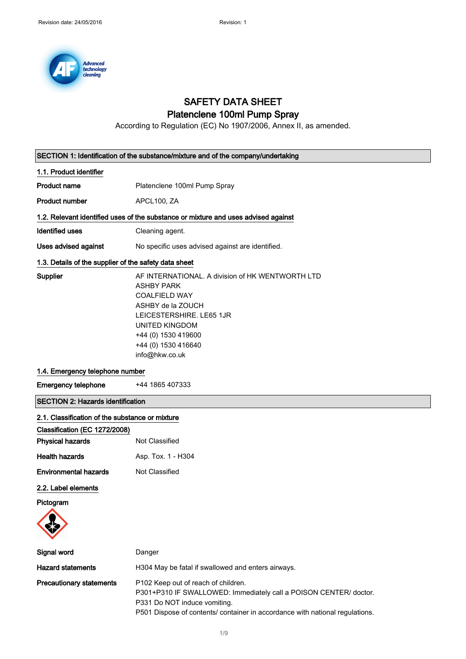

## SAFETY DATA SHEET Platenclene 100ml Pump Spray

According to Regulation (EC) No 1907/2006, Annex II, as amended.

| SECTION 1: Identification of the substance/mixture and of the company/undertaking |                                                                                                                                                                                                                                         |
|-----------------------------------------------------------------------------------|-----------------------------------------------------------------------------------------------------------------------------------------------------------------------------------------------------------------------------------------|
| 1.1. Product identifier                                                           |                                                                                                                                                                                                                                         |
| <b>Product name</b>                                                               | Platenclene 100ml Pump Spray                                                                                                                                                                                                            |
| <b>Product number</b>                                                             | APCL100, ZA                                                                                                                                                                                                                             |
|                                                                                   | 1.2. Relevant identified uses of the substance or mixture and uses advised against                                                                                                                                                      |
| <b>Identified uses</b>                                                            | Cleaning agent.                                                                                                                                                                                                                         |
| <b>Uses advised against</b>                                                       | No specific uses advised against are identified.                                                                                                                                                                                        |
| 1.3. Details of the supplier of the safety data sheet                             |                                                                                                                                                                                                                                         |
| Supplier                                                                          | AF INTERNATIONAL. A division of HK WENTWORTH LTD<br><b>ASHBY PARK</b><br><b>COALFIELD WAY</b><br>ASHBY de la ZOUCH<br>LEICESTERSHIRE. LE65 1JR<br><b>UNITED KINGDOM</b><br>+44 (0) 1530 419600<br>+44 (0) 1530 416640<br>info@hkw.co.uk |
| 1.4. Emergency telephone number                                                   |                                                                                                                                                                                                                                         |
| <b>Emergency telephone</b>                                                        | +44 1865 407333                                                                                                                                                                                                                         |
| <b>SECTION 2: Hazards identification</b>                                          |                                                                                                                                                                                                                                         |
| 2.1. Classification of the substance or mixture                                   |                                                                                                                                                                                                                                         |
| Classification (EC 1272/2008)                                                     |                                                                                                                                                                                                                                         |
| <b>Physical hazards</b>                                                           | Not Classified                                                                                                                                                                                                                          |
| <b>Health hazards</b>                                                             | Asp. Tox. 1 - H304                                                                                                                                                                                                                      |
| <b>Environmental hazards</b>                                                      | Not Classified                                                                                                                                                                                                                          |
| 2.2. Label elements<br>Pictogram                                                  |                                                                                                                                                                                                                                         |
| Signal word                                                                       | Danger                                                                                                                                                                                                                                  |
| <b>Hazard statements</b>                                                          | H304 May be fatal if swallowed and enters airways.                                                                                                                                                                                      |
| <b>Precautionary statements</b>                                                   | P102 Keep out of reach of children.<br>P301+P310 IF SWALLOWED: Immediately call a POISON CENTER/ doctor.<br>P331 Do NOT induce vomiting.<br>P501 Dispose of contents/ container in accordance with national regulations.                |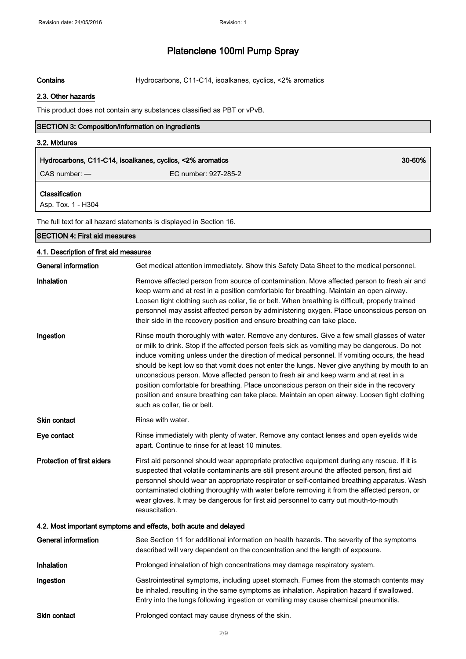Contains **Contains** Hydrocarbons, C11-C14, isoalkanes, cyclics, <2% aromatics

#### 2.3. Other hazards

This product does not contain any substances classified as PBT or vPvB.

| 3.2. Mixtures                               |                                                                     |        |
|---------------------------------------------|---------------------------------------------------------------------|--------|
|                                             | Hydrocarbons, C11-C14, isoalkanes, cyclics, <2% aromatics           | 30-60% |
| $CAS$ number: $-$                           | EC number: 927-285-2                                                |        |
| <b>Classification</b><br>Asp. Tox. 1 - H304 |                                                                     |        |
|                                             | The full text for all hazard statements is displayed in Section 16. |        |
| <b>SECTION 4: First aid measures</b>        |                                                                     |        |

#### 4.1. Description of first aid measures

| <b>General information</b>        | Get medical attention immediately. Show this Safety Data Sheet to the medical personnel.                                                                                                                                                                                                                                                                                                                                                                                                                                                                                                                                                                                                                           |  |  |
|-----------------------------------|--------------------------------------------------------------------------------------------------------------------------------------------------------------------------------------------------------------------------------------------------------------------------------------------------------------------------------------------------------------------------------------------------------------------------------------------------------------------------------------------------------------------------------------------------------------------------------------------------------------------------------------------------------------------------------------------------------------------|--|--|
| Inhalation                        | Remove affected person from source of contamination. Move affected person to fresh air and<br>keep warm and at rest in a position comfortable for breathing. Maintain an open airway.<br>Loosen tight clothing such as collar, tie or belt. When breathing is difficult, properly trained<br>personnel may assist affected person by administering oxygen. Place unconscious person on<br>their side in the recovery position and ensure breathing can take place.                                                                                                                                                                                                                                                 |  |  |
| Ingestion                         | Rinse mouth thoroughly with water. Remove any dentures. Give a few small glasses of water<br>or milk to drink. Stop if the affected person feels sick as vomiting may be dangerous. Do not<br>induce vomiting unless under the direction of medical personnel. If vomiting occurs, the head<br>should be kept low so that vomit does not enter the lungs. Never give anything by mouth to an<br>unconscious person. Move affected person to fresh air and keep warm and at rest in a<br>position comfortable for breathing. Place unconscious person on their side in the recovery<br>position and ensure breathing can take place. Maintain an open airway. Loosen tight clothing<br>such as collar, tie or belt. |  |  |
| Skin contact                      | Rinse with water.                                                                                                                                                                                                                                                                                                                                                                                                                                                                                                                                                                                                                                                                                                  |  |  |
| Eye contact                       | Rinse immediately with plenty of water. Remove any contact lenses and open eyelids wide<br>apart. Continue to rinse for at least 10 minutes.                                                                                                                                                                                                                                                                                                                                                                                                                                                                                                                                                                       |  |  |
| <b>Protection of first aiders</b> | First aid personnel should wear appropriate protective equipment during any rescue. If it is<br>suspected that volatile contaminants are still present around the affected person, first aid<br>personnel should wear an appropriate respirator or self-contained breathing apparatus. Wash<br>contaminated clothing thoroughly with water before removing it from the affected person, or<br>wear gloves. It may be dangerous for first aid personnel to carry out mouth-to-mouth<br>resuscitation.                                                                                                                                                                                                               |  |  |
|                                   | 4.2. Most important symptoms and effects, both acute and delayed                                                                                                                                                                                                                                                                                                                                                                                                                                                                                                                                                                                                                                                   |  |  |
| <b>General information</b>        | See Section 11 for additional information on health hazards. The severity of the symptoms<br>described will vary dependent on the concentration and the length of exposure.                                                                                                                                                                                                                                                                                                                                                                                                                                                                                                                                        |  |  |
| Inhalation                        | Prolonged inhalation of high concentrations may damage respiratory system.                                                                                                                                                                                                                                                                                                                                                                                                                                                                                                                                                                                                                                         |  |  |
| Ingestion                         | Gastrointestinal symptoms, including upset stomach. Fumes from the stomach contents may<br>be inhaled, resulting in the same symptoms as inhalation. Aspiration hazard if swallowed.<br>Entry into the lungs following ingestion or vomiting may cause chemical pneumonitis.                                                                                                                                                                                                                                                                                                                                                                                                                                       |  |  |

Skin contact **Prolonged contact may cause dryness of the skin.**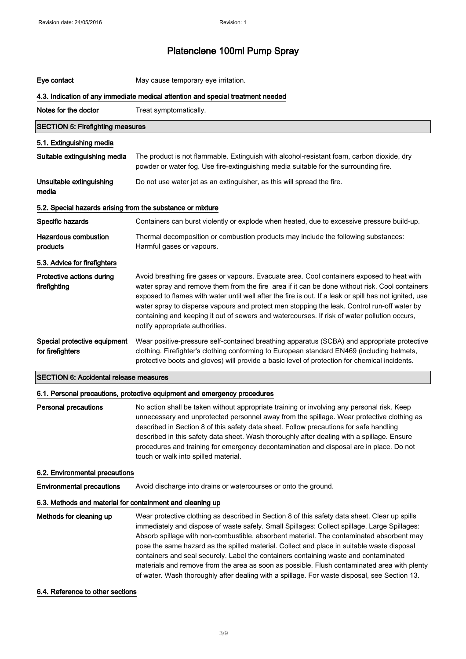| Eye contact                                                                     | May cause temporary eye irritation.                                                                                                                                                                                                                                                                                                                                                                                                                                                                                                                                                                                                                                            |  |
|---------------------------------------------------------------------------------|--------------------------------------------------------------------------------------------------------------------------------------------------------------------------------------------------------------------------------------------------------------------------------------------------------------------------------------------------------------------------------------------------------------------------------------------------------------------------------------------------------------------------------------------------------------------------------------------------------------------------------------------------------------------------------|--|
| 4.3. Indication of any immediate medical attention and special treatment needed |                                                                                                                                                                                                                                                                                                                                                                                                                                                                                                                                                                                                                                                                                |  |
| Notes for the doctor                                                            | Treat symptomatically.                                                                                                                                                                                                                                                                                                                                                                                                                                                                                                                                                                                                                                                         |  |
| <b>SECTION 5: Firefighting measures</b>                                         |                                                                                                                                                                                                                                                                                                                                                                                                                                                                                                                                                                                                                                                                                |  |
| 5.1. Extinguishing media                                                        |                                                                                                                                                                                                                                                                                                                                                                                                                                                                                                                                                                                                                                                                                |  |
| Suitable extinguishing media                                                    | The product is not flammable. Extinguish with alcohol-resistant foam, carbon dioxide, dry<br>powder or water fog. Use fire-extinguishing media suitable for the surrounding fire.                                                                                                                                                                                                                                                                                                                                                                                                                                                                                              |  |
| Unsuitable extinguishing<br>media                                               | Do not use water jet as an extinguisher, as this will spread the fire.                                                                                                                                                                                                                                                                                                                                                                                                                                                                                                                                                                                                         |  |
| 5.2. Special hazards arising from the substance or mixture                      |                                                                                                                                                                                                                                                                                                                                                                                                                                                                                                                                                                                                                                                                                |  |
| Specific hazards                                                                | Containers can burst violently or explode when heated, due to excessive pressure build-up.                                                                                                                                                                                                                                                                                                                                                                                                                                                                                                                                                                                     |  |
| <b>Hazardous combustion</b><br>products                                         | Thermal decomposition or combustion products may include the following substances:<br>Harmful gases or vapours.                                                                                                                                                                                                                                                                                                                                                                                                                                                                                                                                                                |  |
| 5.3. Advice for firefighters                                                    |                                                                                                                                                                                                                                                                                                                                                                                                                                                                                                                                                                                                                                                                                |  |
| Protective actions during<br>firefighting                                       | Avoid breathing fire gases or vapours. Evacuate area. Cool containers exposed to heat with<br>water spray and remove them from the fire area if it can be done without risk. Cool containers<br>exposed to flames with water until well after the fire is out. If a leak or spill has not ignited, use<br>water spray to disperse vapours and protect men stopping the leak. Control run-off water by<br>containing and keeping it out of sewers and watercourses. If risk of water pollution occurs,<br>notify appropriate authorities.                                                                                                                                       |  |
| Special protective equipment<br>for firefighters                                | Wear positive-pressure self-contained breathing apparatus (SCBA) and appropriate protective<br>clothing. Firefighter's clothing conforming to European standard EN469 (including helmets,<br>protective boots and gloves) will provide a basic level of protection for chemical incidents.                                                                                                                                                                                                                                                                                                                                                                                     |  |
| <b>SECTION 6: Accidental release measures</b>                                   |                                                                                                                                                                                                                                                                                                                                                                                                                                                                                                                                                                                                                                                                                |  |
|                                                                                 | 6.1. Personal precautions, protective equipment and emergency procedures                                                                                                                                                                                                                                                                                                                                                                                                                                                                                                                                                                                                       |  |
| <b>Personal precautions</b>                                                     | No action shall be taken without appropriate training or involving any personal risk. Keep<br>unnecessary and unprotected personnel away from the spillage. Wear protective clothing as<br>described in Section 8 of this safety data sheet. Follow precautions for safe handling<br>described in this safety data sheet. Wash thoroughly after dealing with a spillage. Ensure<br>procedures and training for emergency decontamination and disposal are in place. Do not<br>touch or walk into spilled material.                                                                                                                                                             |  |
| 6.2. Environmental precautions                                                  |                                                                                                                                                                                                                                                                                                                                                                                                                                                                                                                                                                                                                                                                                |  |
| <b>Environmental precautions</b>                                                | Avoid discharge into drains or watercourses or onto the ground.                                                                                                                                                                                                                                                                                                                                                                                                                                                                                                                                                                                                                |  |
| 6.3. Methods and material for containment and cleaning up                       |                                                                                                                                                                                                                                                                                                                                                                                                                                                                                                                                                                                                                                                                                |  |
| Methods for cleaning up                                                         | Wear protective clothing as described in Section 8 of this safety data sheet. Clear up spills<br>immediately and dispose of waste safely. Small Spillages: Collect spillage. Large Spillages:<br>Absorb spillage with non-combustible, absorbent material. The contaminated absorbent may<br>pose the same hazard as the spilled material. Collect and place in suitable waste disposal<br>containers and seal securely. Label the containers containing waste and contaminated<br>materials and remove from the area as soon as possible. Flush contaminated area with plenty<br>of water. Wash thoroughly after dealing with a spillage. For waste disposal, see Section 13. |  |

#### 6.4. Reference to other sections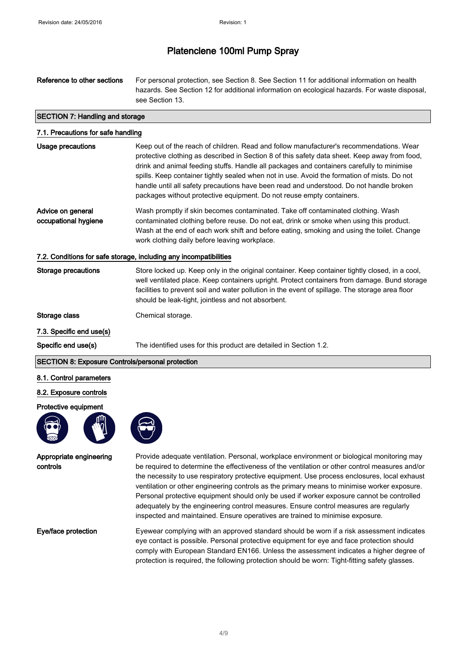| Reference to other sections | For personal protection, see Section 8. See Section 11 for additional information on health   |
|-----------------------------|-----------------------------------------------------------------------------------------------|
|                             | hazards. See Section 12 for additional information on ecological hazards. For waste disposal, |
|                             | see Section 13.                                                                               |

#### SECTION 7: Handling and storage

| 7.1. Precautions for safe handling        |                                                                                                                                                                                                                                                                                                                                                                                                                                                                                                                                                          |
|-------------------------------------------|----------------------------------------------------------------------------------------------------------------------------------------------------------------------------------------------------------------------------------------------------------------------------------------------------------------------------------------------------------------------------------------------------------------------------------------------------------------------------------------------------------------------------------------------------------|
| Usage precautions                         | Keep out of the reach of children. Read and follow manufacturer's recommendations. Wear<br>protective clothing as described in Section 8 of this safety data sheet. Keep away from food,<br>drink and animal feeding stuffs. Handle all packages and containers carefully to minimise<br>spills. Keep container tightly sealed when not in use. Avoid the formation of mists. Do not<br>handle until all safety precautions have been read and understood. Do not handle broken<br>packages without protective equipment. Do not reuse empty containers. |
| Advice on general<br>occupational hygiene | Wash promptly if skin becomes contaminated. Take off contaminated clothing. Wash<br>contaminated clothing before reuse. Do not eat, drink or smoke when using this product.<br>Wash at the end of each work shift and before eating, smoking and using the toilet. Change<br>work clothing daily before leaving workplace.                                                                                                                                                                                                                               |
|                                           | 7.2. Conditions for safe storage, including any incompatibilities                                                                                                                                                                                                                                                                                                                                                                                                                                                                                        |
| Storage precautions                       | Store locked up. Keep only in the original container. Keep container tightly closed, in a cool,<br>well ventilated place. Keep containers upright. Protect containers from damage. Bund storage<br>facilities to prevent soil and water pollution in the event of spillage. The storage area floor<br>should be leak-tight, jointless and not absorbent.                                                                                                                                                                                                 |
| Storage class                             | Chemical storage.                                                                                                                                                                                                                                                                                                                                                                                                                                                                                                                                        |

7.3. Specific end use(s)

Specific end use(s) The identified uses for this product are detailed in Section 1.2.

#### SECTION 8: Exposure Controls/personal protection

#### 8.1. Control parameters

#### 8.2. Exposure controls

#### Protective equipment



Appropriate engineering controls



Provide adequate ventilation. Personal, workplace environment or biological monitoring may be required to determine the effectiveness of the ventilation or other control measures and/or the necessity to use respiratory protective equipment. Use process enclosures, local exhaust ventilation or other engineering controls as the primary means to minimise worker exposure. Personal protective equipment should only be used if worker exposure cannot be controlled adequately by the engineering control measures. Ensure control measures are regularly inspected and maintained. Ensure operatives are trained to minimise exposure.

Eye/face protection Eyewear complying with an approved standard should be worn if a risk assessment indicates eye contact is possible. Personal protective equipment for eye and face protection should comply with European Standard EN166. Unless the assessment indicates a higher degree of protection is required, the following protection should be worn: Tight-fitting safety glasses.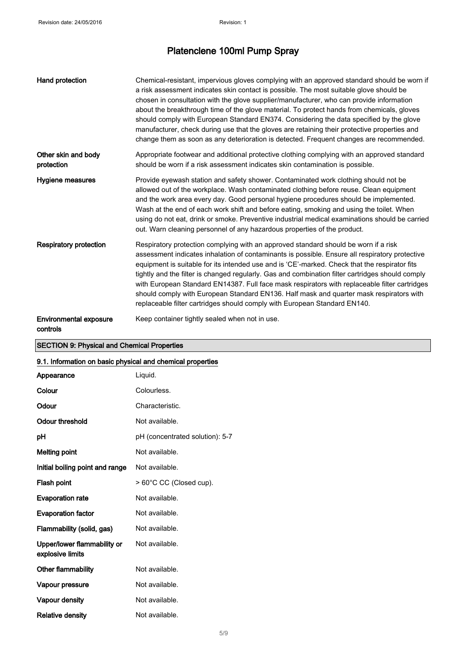| Hand protection                           | Chemical-resistant, impervious gloves complying with an approved standard should be worn if<br>a risk assessment indicates skin contact is possible. The most suitable glove should be<br>chosen in consultation with the glove supplier/manufacturer, who can provide information<br>about the breakthrough time of the glove material. To protect hands from chemicals, gloves<br>should comply with European Standard EN374. Considering the data specified by the glove<br>manufacturer, check during use that the gloves are retaining their protective properties and<br>change them as soon as any deterioration is detected. Frequent changes are recommended. |
|-------------------------------------------|------------------------------------------------------------------------------------------------------------------------------------------------------------------------------------------------------------------------------------------------------------------------------------------------------------------------------------------------------------------------------------------------------------------------------------------------------------------------------------------------------------------------------------------------------------------------------------------------------------------------------------------------------------------------|
| Other skin and body<br>protection         | Appropriate footwear and additional protective clothing complying with an approved standard<br>should be worn if a risk assessment indicates skin contamination is possible.                                                                                                                                                                                                                                                                                                                                                                                                                                                                                           |
| Hygiene measures                          | Provide eyewash station and safety shower. Contaminated work clothing should not be<br>allowed out of the workplace. Wash contaminated clothing before reuse. Clean equipment<br>and the work area every day. Good personal hygiene procedures should be implemented.<br>Wash at the end of each work shift and before eating, smoking and using the toilet. When<br>using do not eat, drink or smoke. Preventive industrial medical examinations should be carried<br>out. Warn cleaning personnel of any hazardous properties of the product.                                                                                                                        |
| <b>Respiratory protection</b>             | Respiratory protection complying with an approved standard should be worn if a risk<br>assessment indicates inhalation of contaminants is possible. Ensure all respiratory protective<br>equipment is suitable for its intended use and is 'CE'-marked. Check that the respirator fits<br>tightly and the filter is changed regularly. Gas and combination filter cartridges should comply<br>with European Standard EN14387. Full face mask respirators with replaceable filter cartridges<br>should comply with European Standard EN136. Half mask and quarter mask respirators with<br>replaceable filter cartridges should comply with European Standard EN140.    |
| <b>Environmental exposure</b><br>controls | Keep container tightly sealed when not in use.                                                                                                                                                                                                                                                                                                                                                                                                                                                                                                                                                                                                                         |

### SECTION 9: Physical and Chemical Properties

### 9.1. Information on basic physical and chemical properties

| Appearance                                      | Liquid.                         |
|-------------------------------------------------|---------------------------------|
| Colour                                          | Colourless.                     |
| Odour                                           | Characteristic.                 |
| Odour threshold                                 | Not available.                  |
| рH                                              | pH (concentrated solution): 5-7 |
| Melting point                                   | Not available.                  |
| Initial boiling point and range                 | Not available.                  |
| <b>Flash point</b>                              | > 60°C CC (Closed cup).         |
| <b>Evaporation rate</b>                         | Not available.                  |
| <b>Evaporation factor</b>                       | Not available.                  |
| Flammability (solid, gas)                       | Not available.                  |
| Upper/lower flammability or<br>explosive limits | Not available.                  |
| Other flammability                              | Not available.                  |
| Vapour pressure                                 | Not available.                  |
| Vapour density                                  | Not available.                  |
| <b>Relative density</b>                         | Not available.                  |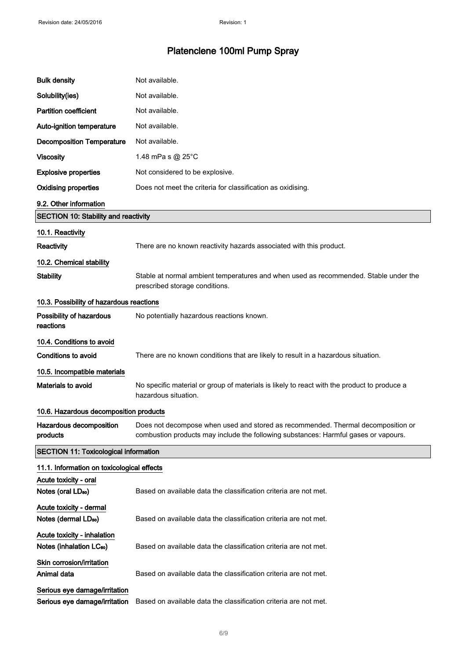| <b>Bulk density</b>                                                 | Not available.                                                                                                                                                          |
|---------------------------------------------------------------------|-------------------------------------------------------------------------------------------------------------------------------------------------------------------------|
| Solubility(ies)                                                     | Not available.                                                                                                                                                          |
| <b>Partition coefficient</b>                                        | Not available.                                                                                                                                                          |
| Auto-ignition temperature                                           | Not available.                                                                                                                                                          |
| <b>Decomposition Temperature</b>                                    | Not available.                                                                                                                                                          |
| <b>Viscosity</b>                                                    | 1.48 mPa s $@$ 25 $°C$                                                                                                                                                  |
| <b>Explosive properties</b>                                         | Not considered to be explosive.                                                                                                                                         |
| <b>Oxidising properties</b>                                         | Does not meet the criteria for classification as oxidising.                                                                                                             |
| 9.2. Other information                                              |                                                                                                                                                                         |
| <b>SECTION 10: Stability and reactivity</b>                         |                                                                                                                                                                         |
| 10.1. Reactivity                                                    |                                                                                                                                                                         |
| Reactivity                                                          | There are no known reactivity hazards associated with this product.                                                                                                     |
| 10.2. Chemical stability                                            |                                                                                                                                                                         |
| <b>Stability</b>                                                    | Stable at normal ambient temperatures and when used as recommended. Stable under the<br>prescribed storage conditions.                                                  |
| 10.3. Possibility of hazardous reactions                            |                                                                                                                                                                         |
| Possibility of hazardous<br>reactions                               | No potentially hazardous reactions known.                                                                                                                               |
| 10.4. Conditions to avoid                                           |                                                                                                                                                                         |
| <b>Conditions to avoid</b>                                          | There are no known conditions that are likely to result in a hazardous situation.                                                                                       |
| 10.5. Incompatible materials                                        |                                                                                                                                                                         |
| Materials to avoid                                                  | No specific material or group of materials is likely to react with the product to produce a<br>hazardous situation.                                                     |
| 10.6. Hazardous decomposition products                              |                                                                                                                                                                         |
| Hazardous decomposition<br>products                                 | Does not decompose when used and stored as recommended. Thermal decomposition or<br>combustion products may include the following substances: Harmful gases or vapours. |
| <b>SECTION 11: Toxicological information</b>                        |                                                                                                                                                                         |
| 11.1. Information on toxicological effects                          |                                                                                                                                                                         |
| Acute toxicity - oral<br>Notes (oral LD <sub>50</sub> )             | Based on available data the classification criteria are not met.                                                                                                        |
| Acute toxicity - dermal<br>Notes (dermal LD <sub>50</sub> )         | Based on available data the classification criteria are not met.                                                                                                        |
| Acute toxicity - inhalation<br>Notes (inhalation LC <sub>50</sub> ) | Based on available data the classification criteria are not met.                                                                                                        |
| Skin corrosion/irritation<br>Animal data                            | Based on available data the classification criteria are not met.                                                                                                        |
| Serious eye damage/irritation<br>Serious eye damage/irritation      | Based on available data the classification criteria are not met.                                                                                                        |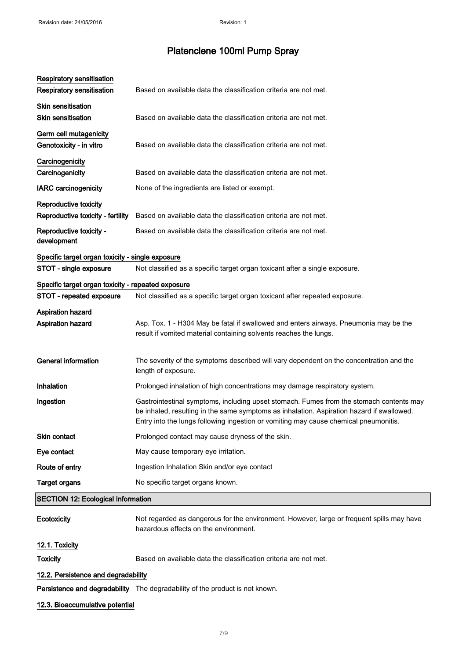| Respiratory sensitisation<br><b>Respiratory sensitisation</b> | Based on available data the classification criteria are not met.                                                                                                                                                                                                             |
|---------------------------------------------------------------|------------------------------------------------------------------------------------------------------------------------------------------------------------------------------------------------------------------------------------------------------------------------------|
| <b>Skin sensitisation</b><br><b>Skin sensitisation</b>        | Based on available data the classification criteria are not met.                                                                                                                                                                                                             |
| Germ cell mutagenicity<br>Genotoxicity - in vitro             | Based on available data the classification criteria are not met.                                                                                                                                                                                                             |
| Carcinogenicity<br>Carcinogenicity                            | Based on available data the classification criteria are not met.                                                                                                                                                                                                             |
| <b>IARC</b> carcinogenicity                                   | None of the ingredients are listed or exempt.                                                                                                                                                                                                                                |
| Reproductive toxicity<br>Reproductive toxicity - fertility    | Based on available data the classification criteria are not met.                                                                                                                                                                                                             |
| Reproductive toxicity -<br>development                        | Based on available data the classification criteria are not met.                                                                                                                                                                                                             |
| Specific target organ toxicity - single exposure              |                                                                                                                                                                                                                                                                              |
| STOT - single exposure                                        | Not classified as a specific target organ toxicant after a single exposure.                                                                                                                                                                                                  |
| Specific target organ toxicity - repeated exposure            |                                                                                                                                                                                                                                                                              |
| STOT - repeated exposure                                      | Not classified as a specific target organ toxicant after repeated exposure.                                                                                                                                                                                                  |
| Aspiration hazard<br><b>Aspiration hazard</b>                 | Asp. Tox. 1 - H304 May be fatal if swallowed and enters airways. Pneumonia may be the<br>result if vomited material containing solvents reaches the lungs.                                                                                                                   |
| <b>General information</b>                                    | The severity of the symptoms described will vary dependent on the concentration and the<br>length of exposure.                                                                                                                                                               |
| Inhalation                                                    | Prolonged inhalation of high concentrations may damage respiratory system.                                                                                                                                                                                                   |
| Ingestion                                                     | Gastrointestinal symptoms, including upset stomach. Fumes from the stomach contents may<br>be inhaled, resulting in the same symptoms as inhalation. Aspiration hazard if swallowed.<br>Entry into the lungs following ingestion or vomiting may cause chemical pneumonitis. |
| Skin contact                                                  | Prolonged contact may cause dryness of the skin.                                                                                                                                                                                                                             |
| Eye contact                                                   | May cause temporary eye irritation.                                                                                                                                                                                                                                          |
| Route of entry                                                | Ingestion Inhalation Skin and/or eye contact                                                                                                                                                                                                                                 |
| <b>Target organs</b>                                          | No specific target organs known.                                                                                                                                                                                                                                             |
| <b>SECTION 12: Ecological Information</b>                     |                                                                                                                                                                                                                                                                              |
| Ecotoxicity                                                   | Not regarded as dangerous for the environment. However, large or frequent spills may have<br>hazardous effects on the environment.                                                                                                                                           |
| 12.1. Toxicity                                                |                                                                                                                                                                                                                                                                              |
| <b>Toxicity</b>                                               | Based on available data the classification criteria are not met.                                                                                                                                                                                                             |
| 12.2. Persistence and degradability                           |                                                                                                                                                                                                                                                                              |

Persistence and degradability The degradability of the product is not known.

#### 12.3. Bioaccumulative potential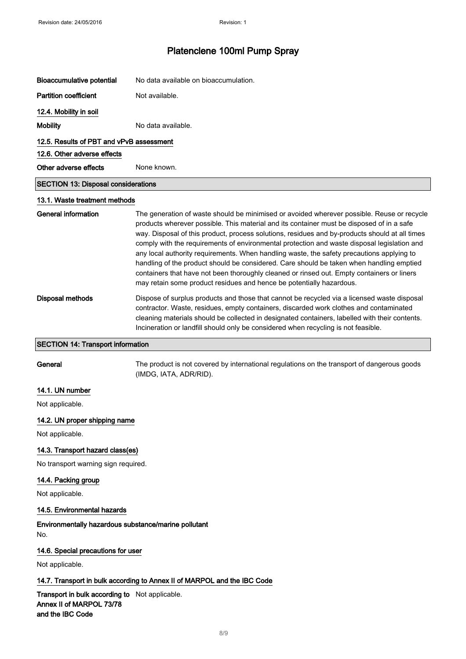| Bioaccumulative potential                  | No data available on bioaccumulation.                                                                                                                                                                                                                                                                                                                                                                                                                                                                                                                                                                                                                                                                                                                   |  |
|--------------------------------------------|---------------------------------------------------------------------------------------------------------------------------------------------------------------------------------------------------------------------------------------------------------------------------------------------------------------------------------------------------------------------------------------------------------------------------------------------------------------------------------------------------------------------------------------------------------------------------------------------------------------------------------------------------------------------------------------------------------------------------------------------------------|--|
| <b>Partition coefficient</b>               | Not available.                                                                                                                                                                                                                                                                                                                                                                                                                                                                                                                                                                                                                                                                                                                                          |  |
| 12.4. Mobility in soil                     |                                                                                                                                                                                                                                                                                                                                                                                                                                                                                                                                                                                                                                                                                                                                                         |  |
| <b>Mobility</b>                            | No data available.                                                                                                                                                                                                                                                                                                                                                                                                                                                                                                                                                                                                                                                                                                                                      |  |
| 12.5. Results of PBT and vPvB assessment   |                                                                                                                                                                                                                                                                                                                                                                                                                                                                                                                                                                                                                                                                                                                                                         |  |
| 12.6. Other adverse effects                |                                                                                                                                                                                                                                                                                                                                                                                                                                                                                                                                                                                                                                                                                                                                                         |  |
| Other adverse effects                      | None known.                                                                                                                                                                                                                                                                                                                                                                                                                                                                                                                                                                                                                                                                                                                                             |  |
| <b>SECTION 13: Disposal considerations</b> |                                                                                                                                                                                                                                                                                                                                                                                                                                                                                                                                                                                                                                                                                                                                                         |  |
| 13.1. Waste treatment methods              |                                                                                                                                                                                                                                                                                                                                                                                                                                                                                                                                                                                                                                                                                                                                                         |  |
| General information                        | The generation of waste should be minimised or avoided wherever possible. Reuse or recycle<br>products wherever possible. This material and its container must be disposed of in a safe<br>way. Disposal of this product, process solutions, residues and by-products should at all times<br>comply with the requirements of environmental protection and waste disposal legislation and<br>any local authority requirements. When handling waste, the safety precautions applying to<br>handling of the product should be considered. Care should be taken when handling emptied<br>containers that have not been thoroughly cleaned or rinsed out. Empty containers or liners<br>may retain some product residues and hence be potentially hazardous. |  |
| Disposal methods                           | Dispose of surplus products and those that cannot be recycled via a licensed waste disposal<br>contractor. Waste, residues, empty containers, discarded work clothes and contaminated<br>cleaning materials should be collected in designated containers, labelled with their contents.<br>Incineration or landfill should only be considered when recycling is not feasible.                                                                                                                                                                                                                                                                                                                                                                           |  |

#### SECTION 14: Transport information

General The product is not covered by international regulations on the transport of dangerous goods (IMDG, IATA, ADR/RID).

### 14.1. UN number

Not applicable.

#### 14.2. UN proper shipping name

Not applicable.

#### 14.3. Transport hazard class(es)

No transport warning sign required.

#### 14.4. Packing group

Not applicable.

#### 14.5. Environmental hazards

Environmentally hazardous substance/marine pollutant No.

#### 14.6. Special precautions for user

Not applicable.

#### 14.7. Transport in bulk according to Annex II of MARPOL and the IBC Code

Transport in bulk according to Not applicable. Annex II of MARPOL 73/78 and the IBC Code